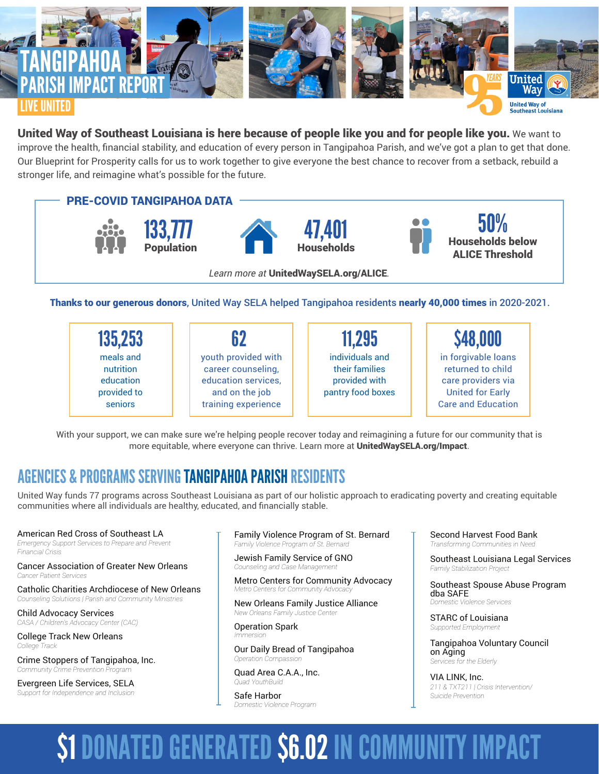

## United Way of Southeast Louisiana is here because of people like you and for people like you. We want to improve the health, financial stability, and education of every person in Tangipahoa Parish, and we've got a plan to get that done. Our Blueprint for Prosperity calls for us to work together to give everyone the best chance to recover from a setback, rebuild a stronger life, and reimagine what's possible for the future.



Thanks to our generous donors, United Way SELA helped Tangipahoa residents nearly 40,000 times in 2020-2021.

| 135,253                                                       | 62                                                                                                        | 11,295                                                                  | \$48,000                                                                                                               |
|---------------------------------------------------------------|-----------------------------------------------------------------------------------------------------------|-------------------------------------------------------------------------|------------------------------------------------------------------------------------------------------------------------|
| meals and<br>nutrition<br>education<br>provided to<br>seniors | youth provided with<br>career counseling,<br>education services,<br>and on the job<br>training experience | individuals and<br>their families<br>provided with<br>pantry food boxes | in forgivable loans<br>returned to child<br>care providers via<br><b>United for Early</b><br><b>Care and Education</b> |

With your support, we can make sure we're helping people recover today and reimagining a future for our community that is more equitable, where everyone can thrive. Learn more at UnitedWaySELA.org/Impact.

## AGENCIES & PROGRAMS SERVING TANGIPAHOA PARISH RESIDENTS

United Way funds 77 programs across Southeast Louisiana as part of our holistic approach to eradicating poverty and creating equitable communities where all individuals are healthy, educated, and financially stable.

### American Red Cross of Southeast LA

*Emergency Support Services to Prepare and Prevent Financial Crisis*

Cancer Association of Greater New Orleans *Cancer Patient Services*

Catholic Charities Archdiocese of New Orleans *Counseling Solutiions | Parish and Community Ministries*

Child Advocacy Services *CASA / Children's Advocacy Center (CAC)*

College Track New Orleans *College Track*

Crime Stoppers of Tangipahoa, Inc. *Community Crime Prevention Program*

Evergreen Life Services, SELA *Support for Independence and Inclusion*

Family Violence Program of St. Bernard *Family Violence Program of St. Bernard* 

Jewish Family Service of GNO *Counseling and Case Manager* 

Metro Centers for Community Advocacy *Metro Centers for Community Advocacy*

New Orleans Family Justice Alliance *New Orleans Family Justice Center*

Operation Spark *Immersion*

Our Daily Bread of Tangipahoa *Operation Compassion*

Quad Area C.A.A., Inc. *Quad YouthBuild*

Safe Harbor *Domestic Violence Program* Second Harvest Food Bank *Transforming Communities in Need*

Southeast Louisiana Legal Services *Family Stabilization Project*

Southeast Spouse Abuse Program dba SAFE *Domestic Violence Services*

STARC of Louisiana *Supported Employment*

Tangipahoa Voluntary Council on Aging *Services for the Elderly*

VIA LINK, Inc. *211 & TXT211 | Crisis Intervention/ Suicide Prevention*

# \$1 DONATED GENERATED \$6.02 IN COMMUNITY IMPACT